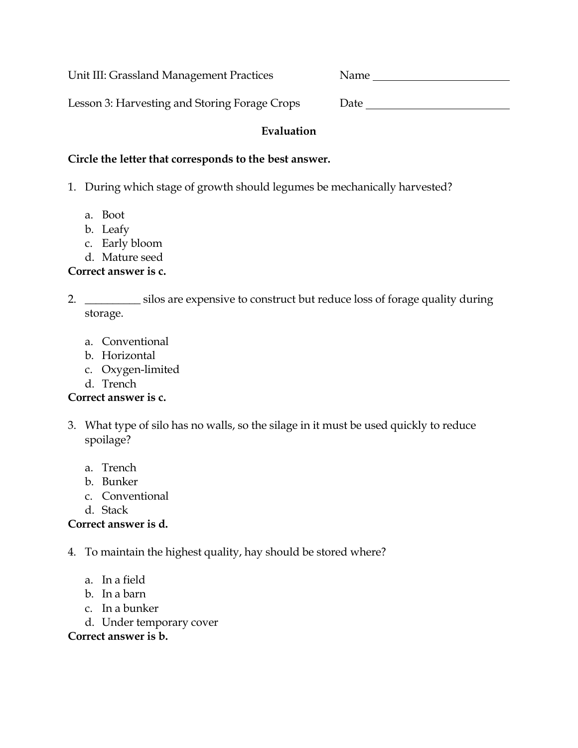Unit III: Grassland Management Practices Name

Lesson 3: Harvesting and Storing Forage Crops Date \_\_\_\_\_\_\_\_\_\_\_\_\_\_\_\_\_\_\_\_\_\_\_\_\_\_\_\_\_

### **Evaluation**

#### **Circle the letter that corresponds to the best answer.**

- 1. During which stage of growth should legumes be mechanically harvested?
	- a. Boot
	- b. Leafy
	- c. Early bloom
	- d. Mature seed

## **Correct answer is c.**

2. \_\_\_\_\_\_\_\_\_\_\_ silos are expensive to construct but reduce loss of forage quality during storage.

- a. Conventional
- b. Horizontal
- c. Oxygen-limited
- d. Trench

# **Correct answer is c.**

- 3. What type of silo has no walls, so the silage in it must be used quickly to reduce spoilage?
	- a. Trench
	- b. Bunker
	- c. Conventional
	- d. Stack

## **Correct answer is d.**

- 4. To maintain the highest quality, hay should be stored where?
	- a. In a field
	- b. In a barn
	- c. In a bunker
	- d. Under temporary cover

## **Correct answer is b.**